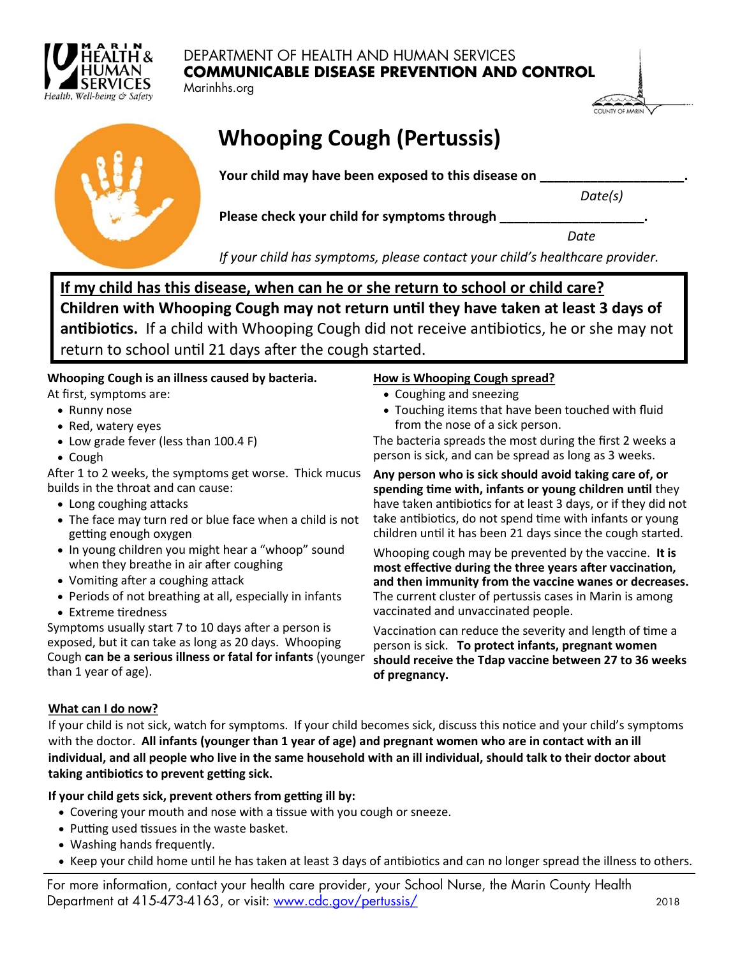

## DEPARTMENT OF HEALTH AND HUMAN SERVICES **COMMUNICABLE DISEASE PREVENTION AND CONTROL**

Marinhhs.org

| OI INTY OF MARIN<br>ı |  |
|-----------------------|--|



# **Whooping Cough (Pertussis)**

Your child may have been exposed to this disease on

*Date(s)*

Please check your child for symptoms through

*Date*

*If your child has symptoms, please contact your child's healthcare provider.*

**If my child has this disease, when can he or she return to school or child care? Children with Whooping Cough may not return until they have taken at least 3 days of antibiotics.** If a child with Whooping Cough did not receive antibiotics, he or she may not return to school until 21 days after the cough started.

## **Whooping Cough is an illness caused by bacteria.**

At first, symptoms are:

- Runny nose
- Red, watery eyes
- Low grade fever (less than 100.4 F)
- Cough

After 1 to 2 weeks, the symptoms get worse. Thick mucus builds in the throat and can cause:

- Long coughing attacks
- The face may turn red or blue face when a child is not getting enough oxygen
- In young children you might hear a "whoop" sound when they breathe in air after coughing
- Vomiting after a coughing attack
- Periods of not breathing at all, especially in infants
- Extreme tiredness

Symptoms usually start 7 to 10 days after a person is exposed, but it can take as long as 20 days. Whooping Cough **can be a serious illness or fatal for infants** (younger than 1 year of age).

## **How is Whooping Cough spread?**

- Coughing and sneezing
- Touching items that have been touched with fluid from the nose of a sick person.

The bacteria spreads the most during the first 2 weeks a person is sick, and can be spread as long as 3 weeks.

**Any person who is sick should avoid taking care of, or spending time with, infants or young children until** they have taken antibiotics for at least 3 days, or if they did not take antibiotics, do not spend time with infants or young children until it has been 21 days since the cough started.

Whooping cough may be prevented by the vaccine. **It is most effective during the three years after vaccination, and then immunity from the vaccine wanes or decreases.**  The current cluster of pertussis cases in Marin is among vaccinated and unvaccinated people.

Vaccination can reduce the severity and length of time a person is sick. **To protect infants, pregnant women should receive the Tdap vaccine between 27 to 36 weeks of pregnancy.**

## **What can I do now?**

If your child is not sick, watch for symptoms. If your child becomes sick, discuss this notice and your child's symptoms with the doctor. **All infants (younger than 1 year of age) and pregnant women who are in contact with an ill individual, and all people who live in the same household with an ill individual, should talk to their doctor about taking antibiotics to prevent getting sick.** 

## **If your child gets sick, prevent others from getting ill by:**

- Covering your mouth and nose with a tissue with you cough or sneeze.
- Putting used tissues in the waste basket.
- Washing hands frequently.
- Keep your child home until he has taken at least 3 days of antibiotics and can no longer spread the illness to others.

For more information, contact your health care provider, your School Nurse, the Marin County Health Department at 415-473-4163, or visit: [www.cdc.gov/pertussis/](https://www.cdc.gov/pertussis/) 2018